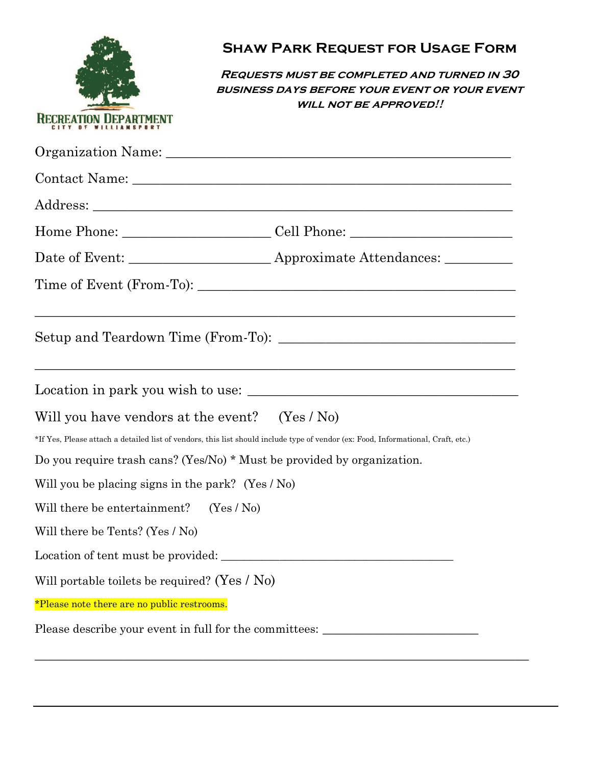|                                                   | <b>SHAW PARK REQUEST FOR USAGE FORM</b>                                                                                                                                              |  |
|---------------------------------------------------|--------------------------------------------------------------------------------------------------------------------------------------------------------------------------------------|--|
|                                                   | <b>REQUESTS MUST BE COMPLETED AND TURNED IN 30</b><br><b>BUSINESS DAYS BEFORE YOUR EVENT OR YOUR EVENT</b><br><b>WILL NOT BE APPROVED!!</b>                                          |  |
| <b>RECREATION DEPART</b>                          |                                                                                                                                                                                      |  |
|                                                   |                                                                                                                                                                                      |  |
|                                                   |                                                                                                                                                                                      |  |
|                                                   |                                                                                                                                                                                      |  |
|                                                   | Home Phone: ____________________________Cell Phone: ____________________________                                                                                                     |  |
|                                                   |                                                                                                                                                                                      |  |
|                                                   |                                                                                                                                                                                      |  |
|                                                   | <u> 1989 - Jan Samuel Barbara, margaret amerikan bahasa dalam berasal dalam berasal dalam berasal dalam berasal d</u><br><u> 1989 - Johann Stoff, amerikansk politiker (d. 1989)</u> |  |
|                                                   |                                                                                                                                                                                      |  |
| Will you have vendors at the event? $(Yes / No)$  |                                                                                                                                                                                      |  |
|                                                   | *If Yes, Please attach a detailed list of vendors, this list should include type of vendor (ex: Food, Informational, Craft, etc.)                                                    |  |
|                                                   | Do you require trash cans? (Yes/No) * Must be provided by organization.                                                                                                              |  |
| Will you be placing signs in the park? (Yes / No) |                                                                                                                                                                                      |  |
| Will there be entertainment? $(Yes / No)$         |                                                                                                                                                                                      |  |
| Will there be Tents? (Yes / No)                   |                                                                                                                                                                                      |  |
|                                                   |                                                                                                                                                                                      |  |
| Will portable toilets be required? (Yes $/$ No)   |                                                                                                                                                                                      |  |
| *Please note there are no public restrooms.       |                                                                                                                                                                                      |  |
|                                                   | Please describe your event in full for the committees: _________________________                                                                                                     |  |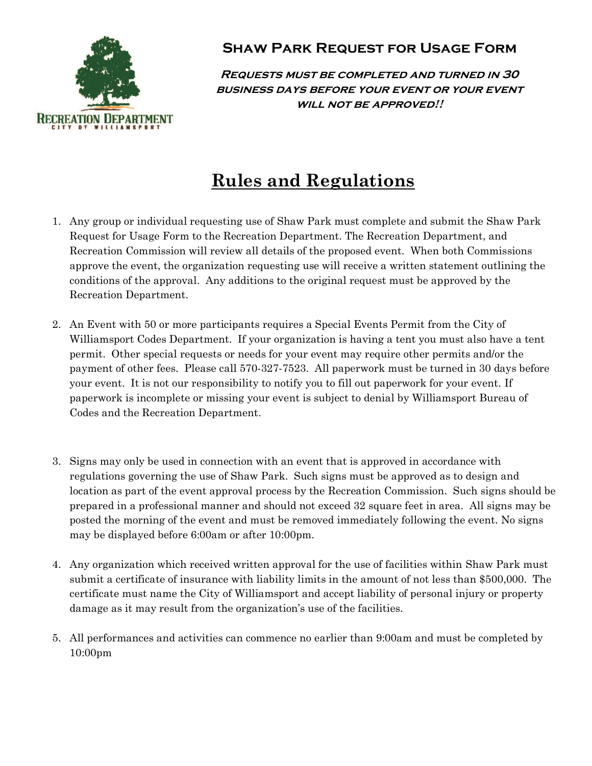

## **Shaw Park Request for Usage Form**

**Requests must be completed and turned in 30 business days before your event or your event will not be approved!!**

## **Rules and Regulations**

- 1. Any group or individual requesting use of Shaw Park must complete and submit the Shaw Park Request for Usage Form to the Recreation Department. The Recreation Department, and Recreation Commission will review all details of the proposed event. When both Commissions approve the event, the organization requesting use will receive a written statement outlining the conditions of the approval. Any additions to the original request must be approved by the Recreation Department.
- 2. An Event with 50 or more participants requires a Special Events Permit from the City of Williamsport Codes Department. If your organization is having a tent you must also have a tent permit. Other special requests or needs for your event may require other permits and/or the payment of other fees. Please call 570-327-7523. All paperwork must be turned in 30 days before your event. It is not our responsibility to notify you to fill out paperwork for your event. If paperwork is incomplete or missing your event is subject to denial by Williamsport Bureau of Codes and the Recreation Department.
- 3. Signs may only be used in connection with an event that is approved in accordance with regulations governing the use of Shaw Park. Such signs must be approved as to design and location as part of the event approval process by the Recreation Commission. Such signs should be prepared in a professional manner and should not exceed 32 square feet in area. All signs may be posted the morning of the event and must be removed immediately following the event. No signs may be displayed before 6:00am or after 10:00pm.
- 4. Any organization which received written approval for the use of facilities within Shaw Park must submit a certificate of insurance with liability limits in the amount of not less than \$500,000. The certificate must name the City of Williamsport and accept liability of personal injury or property damage as it may result from the organization's use of the facilities.
- 5. All performances and activities can commence no earlier than 9:00am and must be completed by 10:00pm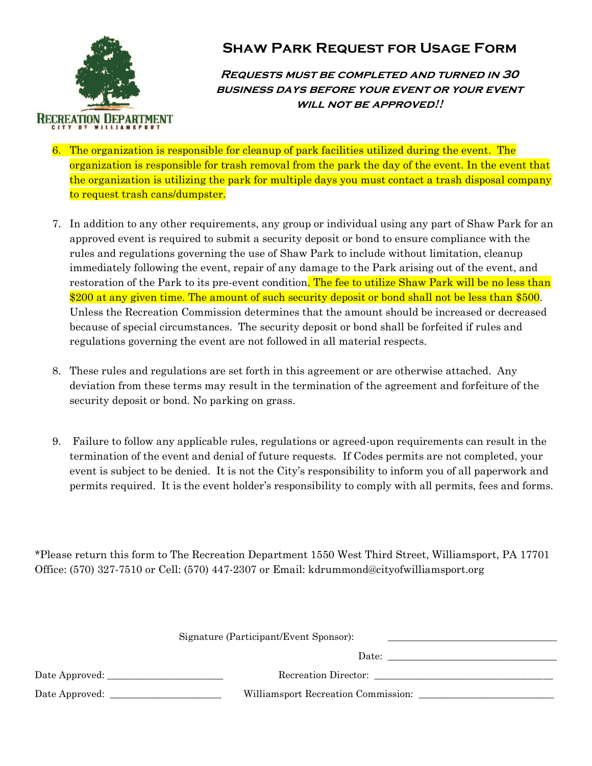

## **Shaw Park Request for Usage Form**

**Requests must be completed and turned in 30 business days before your event or your event will not be approved!!**

- 6. The organization is responsible for cleanup of park facilities utilized during the event. The organization is responsible for trash removal from the park the day of the event. In the event that the organization is utilizing the park for multiple days you must contact a trash disposal company to request trash cans/dumpster.
- 7. In addition to any other requirements, any group or individual using any part of Shaw Park for an approved event is required to submit a security deposit or bond to ensure compliance with the rules and regulations governing the use of Shaw Park to include without limitation, cleanup immediately following the event, repair of any damage to the Park arising out of the event, and restoration of the Park to its pre-event condition. The fee to utilize Shaw Park will be no less than \$200 at any given time. The amount of such security deposit or bond shall not be less than \$500. Unless the Recreation Commission determines that the amount should be increased or decreased because of special circumstances. The security deposit or bond shall be forfeited if rules and regulations governing the event are not followed in all material respects.
- 8. These rules and regulations are set forth in this agreement or are otherwise attached. Any deviation from these terms may result in the termination of the agreement and forfeiture of the security deposit or bond. No parking on grass.
- 9. Failure to follow any applicable rules, regulations or agreed-upon requirements can result in the termination of the event and denial of future requests. If Codes permits are not completed, your event is subject to be denied. It is not the City's responsibility to inform you of all paperwork and permits required. It is the event holder's responsibility to comply with all permits, fees and forms.

\*Please return this form to The Recreation Department 1550 West Third Street, Williamsport, PA 17701 Office: (570) 327-7510 or Cell: (570) 447-2307 or Email: kdrummond@cityofwilliamsport.org

| Signature (Participant/Event Sponsor): |                      |
|----------------------------------------|----------------------|
|                                        |                      |
|                                        | Recreation Director: |
| Williamsport Recreation Commission:    |                      |